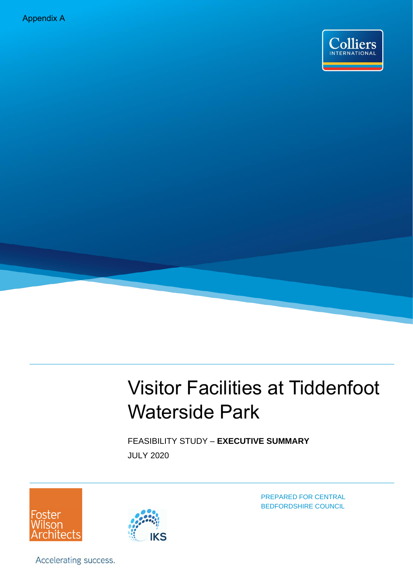Appendix A



# Visitor Facilities at Tiddenfoot Waterside Park

FEASIBILITY STUDY – **EXECUTIVE SUMMARY** JULY 2020





PREPARED FOR CENTRAL BEDFORDSHIRE COUNCIL

Accelerating success.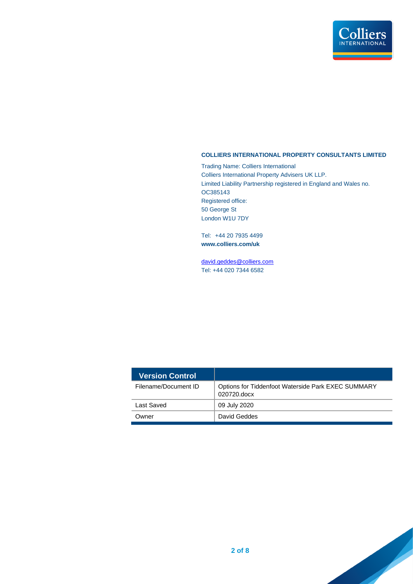

#### **COLLIERS INTERNATIONAL PROPERTY CONSULTANTS LIMITED**

Trading Name: Colliers International Colliers International Property Advisers UK LLP. Limited Liability Partnership registered in England and Wales no. OC385143 Registered office: 50 George St London W1U 7DY

Tel: +44 20 7935 4499 **www.colliers.com/uk**

[david.geddes@colliers.com](mailto:david.geddes@colliers.com) Tel: +44 020 7344 6582

| Version Control      |                                                                   |
|----------------------|-------------------------------------------------------------------|
| Filename/Document ID | Options for Tiddenfoot Waterside Park EXEC SUMMARY<br>020720.docx |
| Last Saved           | 09 July 2020                                                      |
| Owner                | David Geddes                                                      |

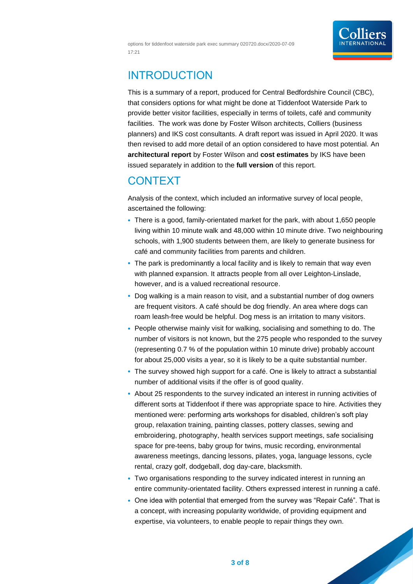options for tiddenfoot waterside park exec summary 020720.docx/2020-07-09 17:21



### INTRODUCTION

This is a summary of a report, produced for Central Bedfordshire Council (CBC), that considers options for what might be done at Tiddenfoot Waterside Park to provide better visitor facilities, especially in terms of toilets, café and community facilities. The work was done by Foster Wilson architects, Colliers (business planners) and IKS cost consultants. A draft report was issued in April 2020. It was then revised to add more detail of an option considered to have most potential. An **architectural report** by Foster Wilson and **cost estimates** by IKS have been issued separately in addition to the **full version** of this report.

### **CONTEXT**

Analysis of the context, which included an informative survey of local people, ascertained the following:

- There is a good, family-orientated market for the park, with about 1,650 people living within 10 minute walk and 48,000 within 10 minute drive. Two neighbouring schools, with 1,900 students between them, are likely to generate business for café and community facilities from parents and children.
- The park is predominantly a local facility and is likely to remain that way even with planned expansion. It attracts people from all over Leighton-Linslade, however, and is a valued recreational resource.
- Dog walking is a main reason to visit, and a substantial number of dog owners are frequent visitors. A café should be dog friendly. An area where dogs can roam leash-free would be helpful. Dog mess is an irritation to many visitors.
- People otherwise mainly visit for walking, socialising and something to do. The number of visitors is not known, but the 275 people who responded to the survey (representing 0.7 % of the population within 10 minute drive) probably account for about 25,000 visits a year, so it is likely to be a quite substantial number.
- The survey showed high support for a café. One is likely to attract a substantial number of additional visits if the offer is of good quality.
- About 25 respondents to the survey indicated an interest in running activities of different sorts at Tiddenfoot if there was appropriate space to hire. Activities they mentioned were: performing arts workshops for disabled, children's soft play group, relaxation training, painting classes, pottery classes, sewing and embroidering, photography, health services support meetings, safe socialising space for pre-teens, baby group for twins, music recording, environmental awareness meetings, dancing lessons, pilates, yoga, language lessons, cycle rental, crazy golf, dodgeball, dog day-care, blacksmith.
- Two organisations responding to the survey indicated interest in running an entire community-orientated facility. Others expressed interest in running a café.
- One idea with potential that emerged from the survey was "Repair Café". That is a concept, with increasing popularity worldwide, of providing equipment and expertise, via volunteers, to enable people to repair things they own.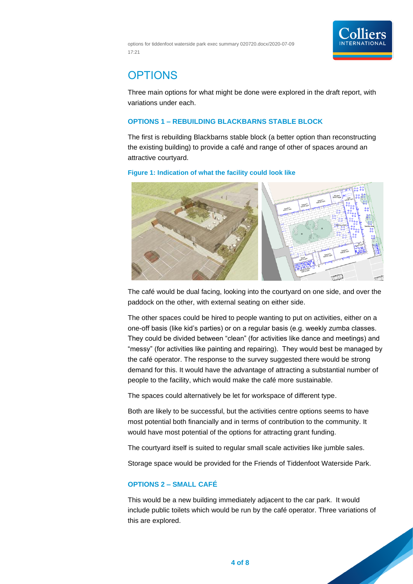

options for tiddenfoot waterside park exec summary 020720.docx/2020-07-09 17:21

## **OPTIONS**

Three main options for what might be done were explored in the draft report, with variations under each.

#### **OPTIONS 1 – REBUILDING BLACKBARNS STABLE BLOCK**

The first is rebuilding Blackbarns stable block (a better option than reconstructing the existing building) to provide a café and range of other of spaces around an attractive courtyard.

#### **Figure 1: Indication of what the facility could look like**



The café would be dual facing, looking into the courtyard on one side, and over the paddock on the other, with external seating on either side.

The other spaces could be hired to people wanting to put on activities, either on a one-off basis (like kid's parties) or on a regular basis (e.g. weekly zumba classes. They could be divided between "clean" (for activities like dance and meetings) and "messy" (for activities like painting and repairing). They would best be managed by the café operator. The response to the survey suggested there would be strong demand for this. It would have the advantage of attracting a substantial number of people to the facility, which would make the café more sustainable.

The spaces could alternatively be let for workspace of different type.

Both are likely to be successful, but the activities centre options seems to have most potential both financially and in terms of contribution to the community. It would have most potential of the options for attracting grant funding.

The courtyard itself is suited to regular small scale activities like jumble sales.

Storage space would be provided for the Friends of Tiddenfoot Waterside Park.

#### **OPTIONS 2 – SMALL CAFÉ**

This would be a new building immediately adjacent to the car park. It would include public toilets which would be run by the café operator. Three variations of this are explored.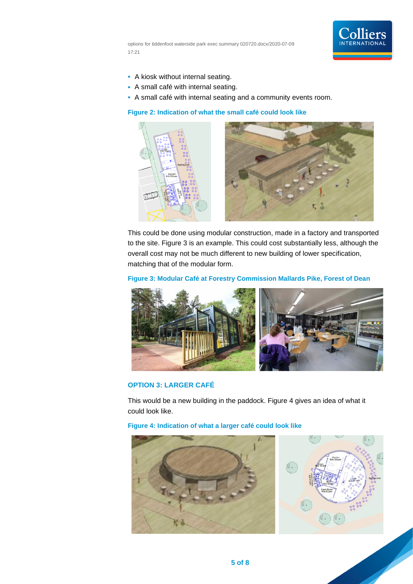

options for tiddenfoot waterside park exec summary 020720.docx/2020-07-09 17:21

- A kiosk without internal seating.
- A small café with internal seating.
- A small café with internal seating and a community events room.

**Figure 2: Indication of what the small café could look like**





This could be done using modular construction, made in a factory and transported to the site. [Figure 3](#page-4-0) is an example. This could cost substantially less, although the overall cost may not be much different to new building of lower specification, matching that of the modular form.

#### <span id="page-4-0"></span>**Figure 3: Modular Café at Forestry Commission Mallards Pike, Forest of Dean**



#### **OPTION 3: LARGER CAFÉ**

This would be a new building in the paddock. [Figure 4](#page-4-1) gives an idea of what it could look like.

<span id="page-4-1"></span>**Figure 4: Indication of what a larger café could look like**

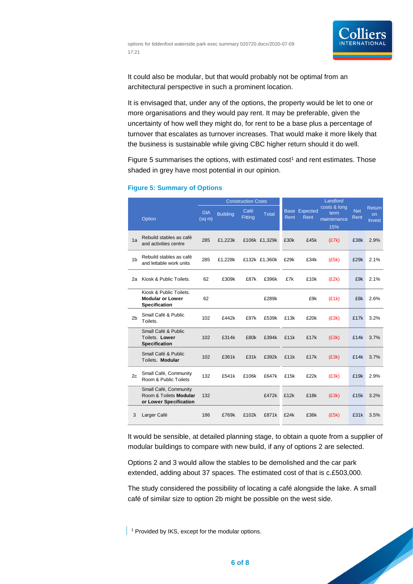

It could also be modular, but that would probably not be optimal from an architectural perspective in such a prominent location.

It is envisaged that, under any of the options, the property would be let to one or more organisations and they would pay rent. It may be preferable, given the uncertainty of how well they might do, for rent to be a base plus a percentage of turnover that escalates as turnover increases. That would make it more likely that the business is sustainable while giving CBC higher return should it do well.

[Figure 5](#page-5-0) summarises the options, with estimated  $cost<sup>1</sup>$  and rent estimates. Those shaded in grey have most potential in our opinion.

|                |                                                                            | <b>Construction Costs</b> |                 |                        |               |      |                              | Landlord                                   |                    |                                      |
|----------------|----------------------------------------------------------------------------|---------------------------|-----------------|------------------------|---------------|------|------------------------------|--------------------------------------------|--------------------|--------------------------------------|
|                | Option                                                                     | <b>GIA</b><br>$(sq \, m)$ | <b>Building</b> | Café<br><b>Fitting</b> | <b>Total</b>  | Rent | <b>Base Expected</b><br>Rent | costs & long<br>term<br>maintenance<br>15% | <b>Net</b><br>Rent | <b>Return</b><br>on<br><b>Invest</b> |
| 1a             | Rebuild stables as café<br>and activities centre                           | 285                       | £1,223k         |                        | £106k £1,329k | £30k | £45k                         | (E7k)                                      | £38k               | 2.9%                                 |
| 1 <sub>b</sub> | Rebuild stables as café<br>and lettable work units                         | 285                       | £1,228k         |                        | £132k £1,360k | £29k | £34k                         | (£5k)                                      | £29k               | 2.1%                                 |
| 2a             | Kiosk & Public Toilets.                                                    | 62                        | £309k           | £87k                   | £396k         | £7k  | £10k                         | (E2k)                                      | £9k                | 2.1%                                 |
|                | Kiosk & Public Toilets.<br><b>Modular or Lower</b><br><b>Specification</b> | 62                        |                 |                        | £289k         |      | £9k                          | (E1k)                                      | £8k                | 2.6%                                 |
| 2 <sub>b</sub> | Small Café & Public<br>Toilets.                                            | 102                       | £442k           | £97k                   | £539k         | £13k | £20k                         | (£3k)                                      | £17k               | 3.2%                                 |
|                | Small Café & Public<br>Toilets. Lower<br><b>Specification</b>              | 102                       | £314k           | £80k                   | £394k         | £11k | £17k                         | (£3k)                                      | £14k               | 3.7%                                 |
|                | Small Café & Public<br>Toilets. Modular                                    | 102                       | £361k           | £31k                   | £392k         | £11k | £17k                         | (E3k)                                      | £14k               | 3.7%                                 |
| 2c             | Small Café, Community<br>Room & Public Toilets                             | 132                       | £541k           | £106k                  | £647k         | £15k | £22k                         | (£3k)                                      | £19k               | 2.9%                                 |
|                | Small Café, Community<br>Room & Toilets Modular<br>or Lower Specification  | 132                       |                 |                        | £472k         | £12k | £18k                         | (£3k)                                      | £15k               | 3.2%                                 |
| 3              | Larger Café                                                                | 186                       | £769k           | £102k                  | £871k         | £24k | £36k                         | (£5k)                                      | £31k               | 3.5%                                 |

#### <span id="page-5-0"></span>**Figure 5: Summary of Options**

It would be sensible, at detailed planning stage, to obtain a quote from a supplier of modular buildings to compare with new build, if any of options 2 are selected.

Options 2 and 3 would allow the stables to be demolished and the car park extended, adding about 37 spaces. The estimated cost of that is c.£503,000.

The study considered the possibility of locating a café alongside the lake. A small café of similar size to option 2b might be possible on the west side.

<sup>1</sup> Provided by IKS, except for the modular options.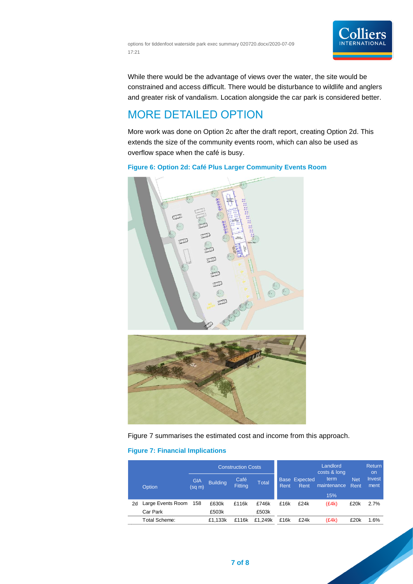



While there would be the advantage of views over the water, the site would be constrained and access difficult. There would be disturbance to wildlife and anglers and greater risk of vandalism. Location alongside the car park is considered better.

### MORE DETAILED OPTION

More work was done on Option 2c after the draft report, creating Option 2d. This extends the size of the community events room, which can also be used as overflow space when the café is busy.

#### **Figure 6: Option 2d: Café Plus Larger Community Events Room**





[Figure 7](#page-6-0) summarises the estimated cost and income from this approach.

#### <span id="page-6-0"></span>**Figure 7: Financial Implications**

|    | Construction Costs            |                      |                 |                        |                |      |                       | Landlord<br>costs & long   |                    | <b>Return</b><br>on.  |
|----|-------------------------------|----------------------|-----------------|------------------------|----------------|------|-----------------------|----------------------------|--------------------|-----------------------|
|    | Option                        | <b>GIA</b><br>(sq m) | <b>Building</b> | Café<br><b>Fitting</b> | <b>Total</b>   | Rent | Base Expected<br>Rent | term<br>maintenance<br>15% | <b>Net</b><br>Rent | <b>Invest</b><br>ment |
| 2d | Large Events Room<br>Car Park | 158                  | £630k<br>£503k  | £116k                  | £746k<br>£503k | £16k | £24k                  | (E4k)                      | £20k               | 2.7%                  |
|    | Total Scheme:                 |                      | £1.133k         | £116k                  | £1.249k        | £16k | £24k                  | (E4k)                      | £20k               | 1.6%                  |